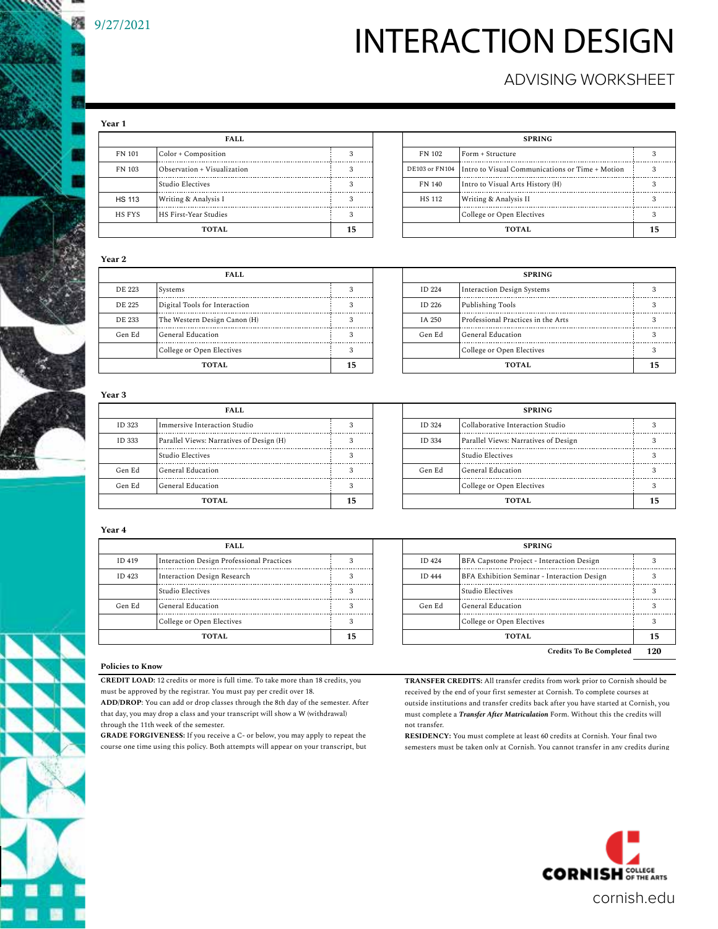# INTERACTION DESIGN

### ADVISING WORKSHEET

**Year 1**

| FALL          |                             |   |  |  |  |  |  |  |
|---------------|-----------------------------|---|--|--|--|--|--|--|
| FN 101        | Color + Composition         | 3 |  |  |  |  |  |  |
| FN 103        | Observation + Visualization | 3 |  |  |  |  |  |  |
|               | Studio Electives            | 3 |  |  |  |  |  |  |
| <b>HS 113</b> | Writing & Analysis I        | 3 |  |  |  |  |  |  |
| HS FYS        | HS First-Year Studies       | 3 |  |  |  |  |  |  |
| <b>TOTAL</b>  |                             |   |  |  |  |  |  |  |

| FALL          |                              |  |              | <b>SPRING</b>                                                  |  |
|---------------|------------------------------|--|--------------|----------------------------------------------------------------|--|
| FN 101        | Color + Composition          |  | FN 102       | Form + Structure                                               |  |
| FN 103        | Observation + Visualization  |  |              | DE103 or FN104 Intro to Visual Communications or Time + Motion |  |
|               | Studio Electives             |  | FN 140       | Intro to Visual Arts History (H)                               |  |
| <b>HS 113</b> | Writing & Analysis I         |  | HS 112       | Writing & Analysis II                                          |  |
| HS FYS        | <b>HS First-Year Studies</b> |  |              | College or Open Electives                                      |  |
| TOTAL.        |                              |  | <b>TOTAL</b> |                                                                |  |

#### **Year 2**

| <b>FALL</b> |                               |  |  |               | <b>SPRING</b>                      |  |
|-------------|-------------------------------|--|--|---------------|------------------------------------|--|
| DE 223      | 1 Systems                     |  |  | <b>ID 224</b> | Interaction Design Systems         |  |
| DE 225      | Digital Tools for Interaction |  |  | ID 226        | Publishing Tools                   |  |
| DE 233      | The Western Design Canon (H)  |  |  | IA 250        | Professional Practices in the Arts |  |
| Gen Ed      | General Education             |  |  | Gen Ed        | General Education                  |  |
|             | College or Open Electives     |  |  |               | College or Open Electives          |  |
| TOTAL.      |                               |  |  |               | <b>TOTAL</b>                       |  |

| FALL                          |  |  |              | <b>SPRING</b>                      |  |  |
|-------------------------------|--|--|--------------|------------------------------------|--|--|
| Systems                       |  |  | ID 224       | Interaction Design Systems         |  |  |
| Digital Tools for Interaction |  |  | ID 226       | Publishing Tools                   |  |  |
| The Western Design Canon (H)  |  |  | IA 250       | Professional Practices in the Arts |  |  |
| General Education             |  |  | Gen Ed       | General Education                  |  |  |
| College or Open Electives     |  |  |              | College or Open Electives          |  |  |
| TOTAL                         |  |  | <b>TOTAL</b> |                                    |  |  |

#### **Year 3**

|        | FALL                                     |  |               | <b>SPRING</b>                        |  |
|--------|------------------------------------------|--|---------------|--------------------------------------|--|
| ID 323 | Immersive Interaction Studio             |  | <b>ID 324</b> | Collaborative Interaction Studio     |  |
| ID 333 | Parallel Views: Narratives of Design (H) |  | ID 334        | Parallel Views: Narratives of Design |  |
|        | Studio Electives                         |  |               | Studio Electives                     |  |
| Gen Ed | General Education                        |  | Gen Ed        | General Education                    |  |
| Gen Ed | General Education                        |  |               | College or Open Electives            |  |
| TOTAL. |                                          |  |               | <b>TOTAL</b>                         |  |

|  |               | <b>SPRING</b>                        |  |
|--|---------------|--------------------------------------|--|
|  | <b>ID 324</b> | Collaborative Interaction Studio     |  |
|  | ID 334        | Parallel Views: Narratives of Design |  |
|  |               | Studio Electives                     |  |
|  | Gen Ed        | General Education                    |  |
|  |               | College or Open Electives            |  |
|  | <b>TOTAL</b>  |                                      |  |
|  |               |                                      |  |

#### **Year 4**

| FALL.  |                                           |   |  |  |  |  |  |
|--------|-------------------------------------------|---|--|--|--|--|--|
| ID 419 | Interaction Design Professional Practices | 3 |  |  |  |  |  |
| ID 423 | Interaction Design Research               | 3 |  |  |  |  |  |
|        | Studio Electives                          | 3 |  |  |  |  |  |
| Gen Ed | General Education                         | 3 |  |  |  |  |  |
|        | College or Open Electives                 | 3 |  |  |  |  |  |
|        |                                           |   |  |  |  |  |  |

| FALL                |                                           |  |              | <b>SPRING</b>                               |  |
|---------------------|-------------------------------------------|--|--------------|---------------------------------------------|--|
| ID 419              | Interaction Design Professional Practices |  | ID 424       | BFA Capstone Project - Interaction Design   |  |
| ID 423              | Interaction Design Research               |  | ID 444       | BFA Exhibition Seminar - Interaction Design |  |
|                     | Studio Electives                          |  |              | Studio Electives                            |  |
| Gen Ed              | General Education                         |  | Gen Ed       | General Education                           |  |
|                     | College or Open Electives                 |  |              | College or Open Electives                   |  |
| <b>TOTAL</b><br>15. |                                           |  | <b>TOTAL</b> |                                             |  |
|                     |                                           |  |              | <b>Credits To Be Completed</b>              |  |

#### **Policies to Know**

**CREDIT LOAD:** 12 credits or more is full time. To take more than 18 credits, you

must be approved by the registrar. You must pay per credit over 18. **ADD/DROP**: You can add or drop classes through the 8th day of the semester. After that day, you may drop a class and your transcript will show a W (withdrawal) through the 11th week of the semester.

**GRADE FORGIVENESS:** If you receive a C- or below, you may apply to repeat the course one time using this policy. Both attempts will appear on your transcript, but **TRANSFER CREDITS:** All transfer credits from work prior to Cornish should be received by the end of your first semester at Cornish. To complete courses at outside institutions and transfer credits back after you have started at Cornish, you must complete a *Transfer After Matriculation* Form. Without this the credits will not transfer.

**RESIDENCY:** You must complete at least 60 credits at Cornish. Your final two semesters must be taken only at Cornish. You cannot transfer in any credits during